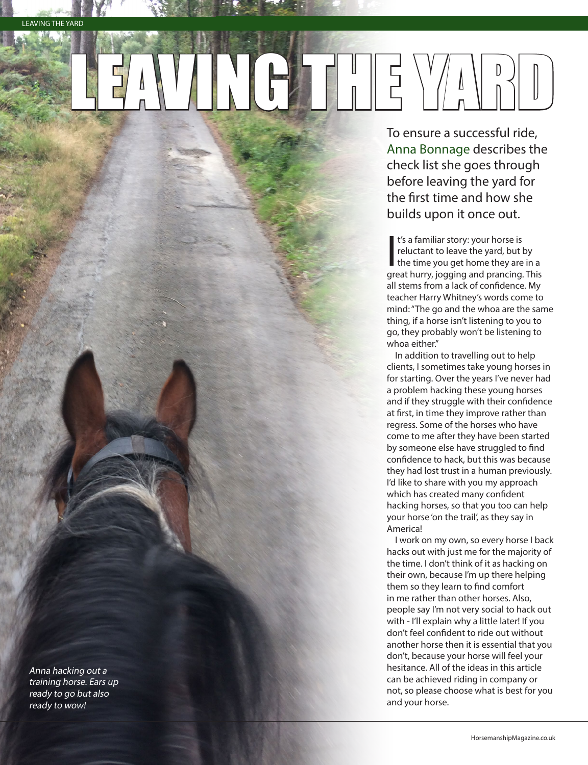LEADER THE

To ensure a successful ride, Anna Bonnage describes the check list she goes through before leaving the yard for the first time and how she builds upon it once out.

t's a familiar story: your horse is<br>reluctant to leave the yard, but by<br>the time you get home they are in a<br>great bury, jogging and prancing This t's a familiar story: your horse is reluctant to leave the yard, but by great hurry, jogging and prancing. This all stems from a lack of confidence. My teacher Harry Whitney's words come to mind: "The go and the whoa are the same thing, if a horse isn't listening to you to go, they probably won't be listening to whoa either."

In addition to travelling out to help clients, I sometimes take young horses in for starting. Over the years I've never had a problem hacking these young horses and if they struggle with their confidence at first, in time they improve rather than regress. Some of the horses who have come to me after they have been started by someone else have struggled to find confidence to hack, but this was because they had lost trust in a human previously. I'd like to share with you my approach which has created many confident hacking horses, so that you too can help your horse 'on the trail', as they say in America!

I work on my own, so every horse I back hacks out with just me for the majority of the time. I don't think of it as hacking on their own, because I'm up there helping them so they learn to find comfort in me rather than other horses. Also, people say I'm not very social to hack out with - I'll explain why a little later! If you don't feel confident to ride out without another horse then it is essential that you don't, because your horse will feel your hesitance. All of the ideas in this article can be achieved riding in company or not, so please choose what is best for you and your horse.

Anna hacking out a training horse. Ears up ready to go but also ready to wow!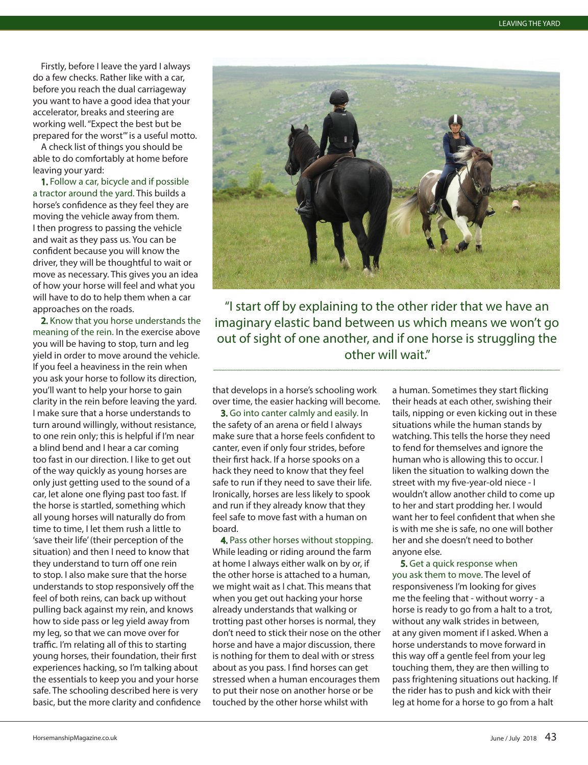Firstly, before I leave the yard I always do a few checks. Rather like with a car, before you reach the dual carriageway you want to have a good idea that your accelerator, breaks and steering are working well. "Expect the best but be prepared for the worst'" is a useful motto.

A check list of things you should be able to do comfortably at home before leaving your yard:

1. Follow a car, bicycle and if possible a tractor around the yard. This builds a horse's confidence as they feel they are moving the vehicle away from them. I then progress to passing the vehicle and wait as they pass us. You can be confident because you will know the driver, they will be thoughtful to wait or move as necessary. This gives you an idea of how your horse will feel and what you will have to do to help them when a car approaches on the roads.

2. Know that you horse understands the meaning of the rein. In the exercise above you will be having to stop, turn and leg yield in order to move around the vehicle. If you feel a heaviness in the rein when you ask your horse to follow its direction, you'll want to help your horse to gain clarity in the rein before leaving the yard. I make sure that a horse understands to turn around willingly, without resistance, to one rein only; this is helpful if I'm near a blind bend and I hear a car coming too fast in our direction. I like to get out of the way quickly as young horses are only just getting used to the sound of a car, let alone one flying past too fast. If the horse is startled, something which all young horses will naturally do from time to time, I let them rush a little to 'save their life' (their perception of the situation) and then I need to know that they understand to turn off one rein to stop. I also make sure that the horse understands to stop responsively off the feel of both reins, can back up without pulling back against my rein, and knows how to side pass or leg yield away from my leg, so that we can move over for traffic. I'm relating all of this to starting young horses, their foundation, their first experiences hacking, so I'm talking about the essentials to keep you and your horse safe. The schooling described here is very basic, but the more clarity and confidence



"I start off by explaining to the other rider that we have an imaginary elastic band between us which means we won't go out of sight of one another, and if one horse is struggling the other will wait."

that develops in a horse's schooling work over time, the easier hacking will become.

3. Go into canter calmly and easily. In the safety of an arena or field I always make sure that a horse feels confident to canter, even if only four strides, before their first hack. If a horse spooks on a hack they need to know that they feel safe to run if they need to save their life. Ironically, horses are less likely to spook and run if they already know that they feel safe to move fast with a human on board.

4. Pass other horses without stopping. While leading or riding around the farm at home I always either walk on by or, if the other horse is attached to a human, we might wait as I chat. This means that when you get out hacking your horse already understands that walking or trotting past other horses is normal, they don't need to stick their nose on the other horse and have a major discussion, there is nothing for them to deal with or stress about as you pass. I find horses can get stressed when a human encourages them to put their nose on another horse or be touched by the other horse whilst with

a human. Sometimes they start flicking their heads at each other, swishing their tails, nipping or even kicking out in these situations while the human stands by watching. This tells the horse they need to fend for themselves and ignore the human who is allowing this to occur. I liken the situation to walking down the street with my five-year-old niece - I wouldn't allow another child to come up to her and start prodding her. I would want her to feel confident that when she is with me she is safe, no one will bother her and she doesn't need to bother anyone else.

5. Get a quick response when you ask them to move. The level of responsiveness I'm looking for gives me the feeling that - without worry - a horse is ready to go from a halt to a trot, without any walk strides in between, at any given moment if I asked. When a horse understands to move forward in this way off a gentle feel from your leg touching them, they are then willing to pass frightening situations out hacking. If the rider has to push and kick with their leg at home for a horse to go from a halt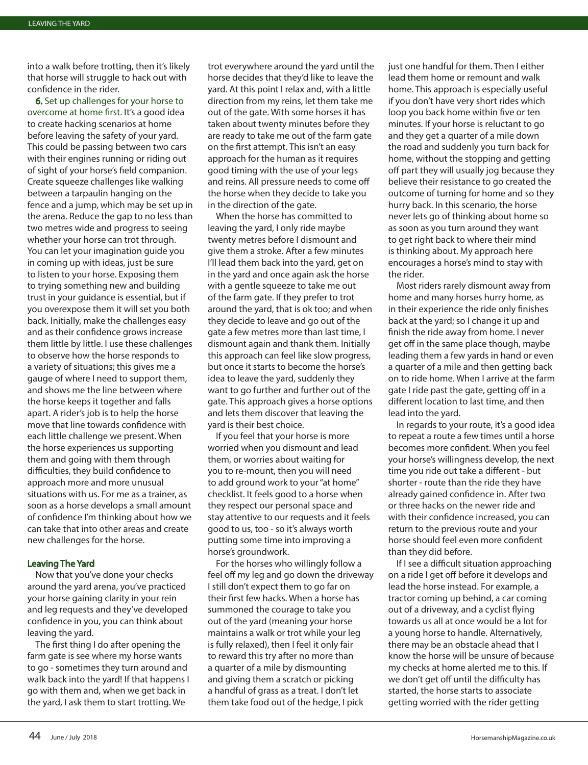into a walk before trotting, then it's likely that horse will struggle to hack out with confidence in the rider.

6. Set up challenges for your horse to overcome at home first. It's a good idea to create hacking scenarios at home before leaving the safety of your yard. This could be passing between two cars with their engines running or riding out of sight of your horse's field companion. Create squeeze challenges like walking between a tarpaulin hanging on the fence and a jump, which may be set up in the arena. Reduce the gap to no less than two metres wide and progress to seeing whether your horse can trot through. You can let your imagination guide you in coming up with ideas, just be sure to listen to your horse. Exposing them to trying something new and building trust in your guidance is essential, but if you overexpose them it will set you both back. Initially, make the challenges easy and as their confidence grows increase them little by little. I use these challenges to observe how the horse responds to a variety of situations; this gives me a gauge of where I need to support them, and shows me the line between where the horse keeps it together and falls apart. A rider's job is to help the horse move that line towards confidence with each little challenge we present. When the horse experiences us supporting them and going with them through difficulties, they build confidence to approach more and more unusual situations with us. For me as a trainer, as soon as a horse develops a small amount of confidence I'm thinking about how we can take that into other areas and create new challenges for the horse.

## Leaving The Yard

Now that you've done your checks around the yard arena, you've practiced your horse gaining clarity in your rein and leg requests and they've developed confidence in you, you can think about leaving the yard.

The first thing I do after opening the farm gate is see where my horse wants to go - sometimes they turn around and walk back into the yard! If that happens I go with them and, when we get back in the yard, I ask them to start trotting. We

trot everywhere around the yard until the horse decides that they'd like to leave the yard. At this point I relax and, with a little direction from my reins, let them take me out of the gate. With some horses it has taken about twenty minutes before they are ready to take me out of the farm gate on the first attempt. This isn't an easy approach for the human as it requires good timing with the use of your legs and reins. All pressure needs to come off the horse when they decide to take you in the direction of the gate.

When the horse has committed to leaving the yard, I only ride maybe twenty metres before I dismount and give them a stroke. After a few minutes I'll lead them back into the yard, get on in the yard and once again ask the horse with a gentle squeeze to take me out of the farm gate. If they prefer to trot around the yard, that is ok too; and when they decide to leave and go out of the gate a few metres more than last time, I dismount again and thank them. Initially this approach can feel like slow progress, but once it starts to become the horse's idea to leave the yard, suddenly they want to go further and further out of the gate. This approach gives a horse options and lets them discover that leaving the yard is their best choice.

If you feel that your horse is more worried when you dismount and lead them, or worries about waiting for you to re-mount, then you will need to add ground work to your "at home" checklist. It feels good to a horse when they respect our personal space and stay attentive to our requests and it feels good to us, too - so it's always worth putting some time into improving a horse's groundwork.

For the horses who willingly follow a feel off my leg and go down the driveway I still don't expect them to go far on their first few hacks. When a horse has summoned the courage to take you out of the yard (meaning your horse maintains a walk or trot while your leg is fully relaxed), then I feel it only fair to reward this try after no more than a quarter of a mile by dismounting and giving them a scratch or picking a handful of grass as a treat. I don't let them take food out of the hedge, I pick

just one handful for them. Then I either lead them home or remount and walk home. This approach is especially useful if you don't have very short rides which loop you back home within five or ten minutes. If your horse is reluctant to go and they get a quarter of a mile down the road and suddenly you turn back for home, without the stopping and getting off part they will usually jog because they believe their resistance to go created the outcome of turning for home and so they hurry back. In this scenario, the horse never lets go of thinking about home so as soon as you turn around they want to get right back to where their mind is thinking about. My approach here encourages a horse's mind to stay with the rider.

Most riders rarely dismount away from home and many horses hurry home, as in their experience the ride only finishes back at the yard; so I change it up and finish the ride away from home. I never get off in the same place though, maybe leading them a few yards in hand or even a quarter of a mile and then getting back on to ride home. When I arrive at the farm gate I ride past the gate, getting off in a different location to last time, and then lead into the yard.

In regards to your route, it's a good idea to repeat a route a few times until a horse becomes more confident. When you feel your horse's willingness develop, the next time you ride out take a different - but shorter - route than the ride they have already gained confidence in. After two or three hacks on the newer ride and with their confidence increased, you can return to the previous route and your horse should feel even more confident than they did before.

If I see a difficult situation approaching on a ride I get off before it develops and lead the horse instead. For example, a tractor coming up behind, a car coming out of a driveway, and a cyclist flying towards us all at once would be a lot for a young horse to handle. Alternatively, there may be an obstacle ahead that I know the horse will be unsure of because my checks at home alerted me to this. If we don't get off until the difficulty has started, the horse starts to associate getting worried with the rider getting